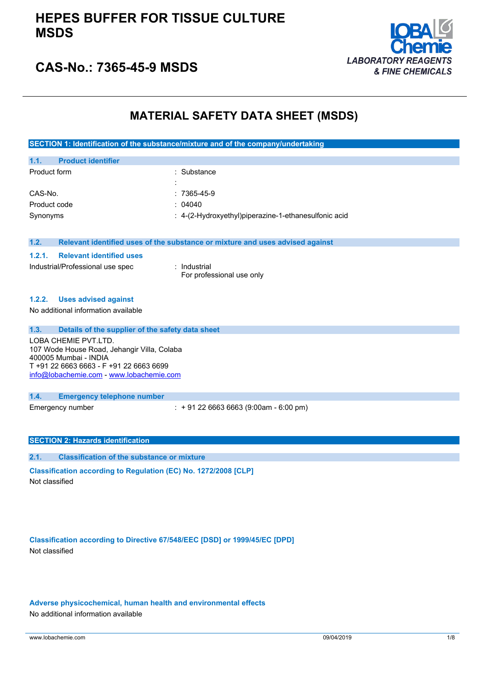

## **CAS-No.: 7365-45-9 MSDS**

### **MATERIAL SAFETY DATA SHEET (MSDS)**

| SECTION 1: Identification of the substance/mixture and of the company/undertaking |                                                                               |  |
|-----------------------------------------------------------------------------------|-------------------------------------------------------------------------------|--|
|                                                                                   |                                                                               |  |
| <b>Product identifier</b><br>1.1.                                                 |                                                                               |  |
| Product form                                                                      | : Substance                                                                   |  |
|                                                                                   |                                                                               |  |
| CAS-No.                                                                           | $:7365-45-9$                                                                  |  |
| Product code                                                                      | : 04040                                                                       |  |
| Synonyms                                                                          | : 4-(2-Hydroxyethyl)piperazine-1-ethanesulfonic acid                          |  |
|                                                                                   |                                                                               |  |
|                                                                                   |                                                                               |  |
| 1.2.                                                                              | Relevant identified uses of the substance or mixture and uses advised against |  |
| <b>Relevant identified uses</b><br>1.2.1.                                         |                                                                               |  |
| Industrial/Professional use spec                                                  | : Industrial                                                                  |  |
|                                                                                   | For professional use only                                                     |  |
|                                                                                   |                                                                               |  |
| <b>Uses advised against</b><br>1.2.2.                                             |                                                                               |  |
| No additional information available                                               |                                                                               |  |
|                                                                                   |                                                                               |  |
| 1.3.<br>Details of the supplier of the safety data sheet                          |                                                                               |  |
| LOBA CHEMIE PVT.LTD.                                                              |                                                                               |  |

107 Wode House Road, Jehangir Villa, Colaba 400005 Mumbai - INDIA T +91 22 6663 6663 - F +91 22 6663 6699 [info@lobachemie.com](mailto:info@lobachemie.com) - <www.lobachemie.com>

#### **1.4. Emergency telephone number**

Emergency number : + 91 22 6663 6663 (9:00am - 6:00 pm)

### **SECTION 2: Hazards identification**

**2.1. Classification of the substance or mixture**

**Classification according to Regulation (EC) No. 1272/2008 [CLP]** Not classified

**Classification according to Directive 67/548/EEC [DSD] or 1999/45/EC [DPD]** Not classified

**Adverse physicochemical, human health and environmental effects**

No additional information available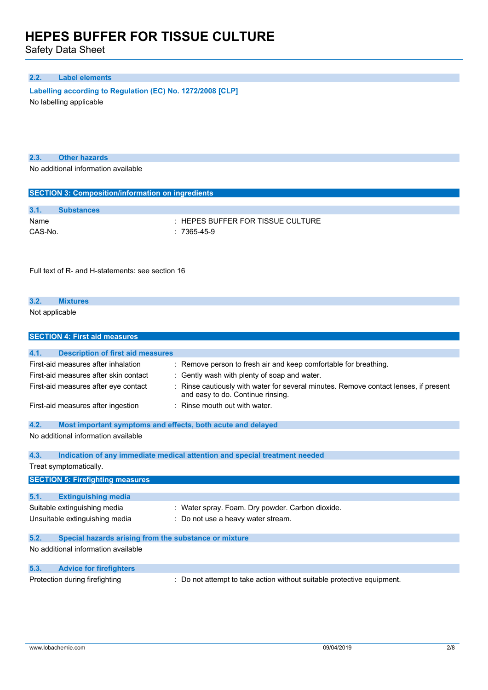Safety Data Sheet

### **2.2. Label elements**

**Labelling according to Regulation** (EC) **No. 1272/2008** [CLP]

No labelling applicable

**2.3. Other hazards**

No additional information available

| <b>SECTION 3: Composition/information on ingredients</b> |                   |                                       |  |
|----------------------------------------------------------|-------------------|---------------------------------------|--|
|                                                          |                   |                                       |  |
| 3.1.                                                     | <b>Substances</b> |                                       |  |
| Name                                                     |                   | $\pm$ HEPES BUFFER FOR TISSUE CULTURE |  |
| CAS-No.                                                  | $: 7365 - 45 - 9$ |                                       |  |

Full text of R- and H-statements: see section 16

### **3.2. Mixtures** Not applicable

| <b>SECTION 4: First aid measures</b>                                                                    |                                                                                                                         |  |  |  |
|---------------------------------------------------------------------------------------------------------|-------------------------------------------------------------------------------------------------------------------------|--|--|--|
|                                                                                                         |                                                                                                                         |  |  |  |
| 4.1.<br><b>Description of first aid measures</b>                                                        |                                                                                                                         |  |  |  |
| First-aid measures after inhalation<br>: Remove person to fresh air and keep comfortable for breathing. |                                                                                                                         |  |  |  |
| : Gently wash with plenty of soap and water.<br>First-aid measures after skin contact                   |                                                                                                                         |  |  |  |
| First-aid measures after eye contact                                                                    | Rinse cautiously with water for several minutes. Remove contact lenses, if present<br>and easy to do. Continue rinsing. |  |  |  |
| First-aid measures after ingestion                                                                      | : Rinse mouth out with water.                                                                                           |  |  |  |
| 4.2.<br>Most important symptoms and effects, both acute and delayed                                     |                                                                                                                         |  |  |  |
| No additional information available                                                                     |                                                                                                                         |  |  |  |
| 4.3.                                                                                                    | Indication of any immediate medical attention and special treatment needed                                              |  |  |  |
| Treat symptomatically.                                                                                  |                                                                                                                         |  |  |  |
| <b>SECTION 5: Firefighting measures</b>                                                                 |                                                                                                                         |  |  |  |
|                                                                                                         |                                                                                                                         |  |  |  |
| 5.1.<br><b>Extinguishing media</b>                                                                      |                                                                                                                         |  |  |  |
| Suitable extinguishing media                                                                            | : Water spray. Foam. Dry powder. Carbon dioxide.                                                                        |  |  |  |
| Unsuitable extinguishing media                                                                          | : Do not use a heavy water stream.                                                                                      |  |  |  |
| 5.2.<br>Special hazards arising from the substance or mixture                                           |                                                                                                                         |  |  |  |
| No additional information available                                                                     |                                                                                                                         |  |  |  |
| 5.3.<br><b>Advice for firefighters</b>                                                                  |                                                                                                                         |  |  |  |
| Protection during firefighting                                                                          | : Do not attempt to take action without suitable protective equipment.                                                  |  |  |  |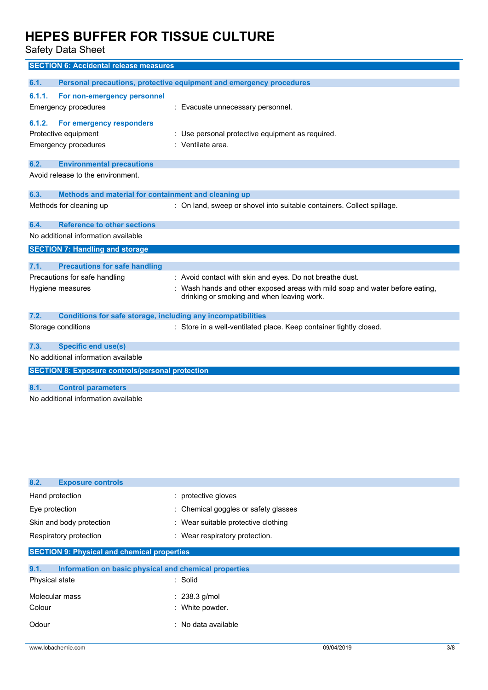Safety Data Sheet

|        | <b>SECTION 6: Accidental release measures</b>                       |                                                                                                                            |
|--------|---------------------------------------------------------------------|----------------------------------------------------------------------------------------------------------------------------|
| 6.1.   |                                                                     | Personal precautions, protective equipment and emergency procedures                                                        |
| 6.1.1. | For non-emergency personnel                                         |                                                                                                                            |
|        | <b>Emergency procedures</b>                                         | : Evacuate unnecessary personnel.                                                                                          |
| 6.1.2. | For emergency responders                                            |                                                                                                                            |
|        | Protective equipment                                                | : Use personal protective equipment as required.                                                                           |
|        | <b>Emergency procedures</b>                                         | : Ventilate area.                                                                                                          |
| 6.2.   | <b>Environmental precautions</b>                                    |                                                                                                                            |
|        | Avoid release to the environment.                                   |                                                                                                                            |
| 6.3.   | Methods and material for containment and cleaning up                |                                                                                                                            |
|        | Methods for cleaning up                                             | : On land, sweep or shovel into suitable containers. Collect spillage.                                                     |
| 6.4.   | <b>Reference to other sections</b>                                  |                                                                                                                            |
|        | No additional information available                                 |                                                                                                                            |
|        | <b>SECTION 7: Handling and storage</b>                              |                                                                                                                            |
| 7.1.   | <b>Precautions for safe handling</b>                                |                                                                                                                            |
|        | Precautions for safe handling                                       | : Avoid contact with skin and eyes. Do not breathe dust.                                                                   |
|        | Hygiene measures                                                    | : Wash hands and other exposed areas with mild soap and water before eating,<br>drinking or smoking and when leaving work. |
| 7.2.   | <b>Conditions for safe storage, including any incompatibilities</b> |                                                                                                                            |
|        | Storage conditions                                                  | : Store in a well-ventilated place. Keep container tightly closed.                                                         |
| 7.3.   | <b>Specific end use(s)</b>                                          |                                                                                                                            |
|        | No additional information available                                 |                                                                                                                            |
|        | <b>SECTION 8: Exposure controls/personal protection</b>             |                                                                                                                            |
| 8.1.   | <b>Control parameters</b>                                           |                                                                                                                            |
|        | No additional information available                                 |                                                                                                                            |

| 8.2.<br><b>Exposure controls</b>                              |                                      |  |  |
|---------------------------------------------------------------|--------------------------------------|--|--|
| Hand protection                                               | : protective gloves                  |  |  |
| Eye protection                                                | : Chemical goggles or safety glasses |  |  |
| Skin and body protection                                      | : Wear suitable protective clothing  |  |  |
| Respiratory protection                                        | : Wear respiratory protection.       |  |  |
| <b>SECTION 9: Physical and chemical properties</b>            |                                      |  |  |
| 9.1.<br>Information on basic physical and chemical properties |                                      |  |  |
| Physical state                                                | : Solid                              |  |  |
| Molecular mass                                                | $: 238.3$ g/mol                      |  |  |
| Colour                                                        | : White powder.                      |  |  |
| Odour                                                         | : No data available                  |  |  |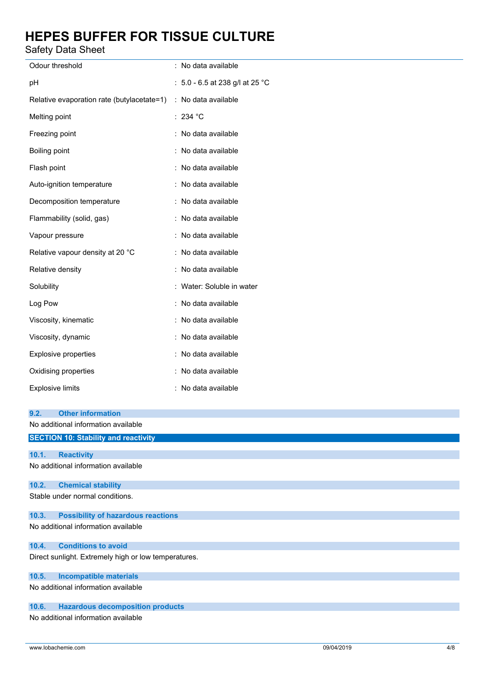Safety Data Sheet

| ouiviy Duiu Onooi                                    |                                   |  |
|------------------------------------------------------|-----------------------------------|--|
| Odour threshold                                      | : No data available               |  |
| рH                                                   | : $5.0 - 6.5$ at 238 g/l at 25 °C |  |
| Relative evaporation rate (butylacetate=1)           | : No data available               |  |
| Melting point                                        | : 234 °C                          |  |
| Freezing point                                       | : No data available               |  |
| Boiling point                                        | : No data available               |  |
| Flash point                                          | : No data available               |  |
| Auto-ignition temperature                            | : No data available               |  |
| Decomposition temperature                            | : No data available               |  |
| Flammability (solid, gas)                            | : No data available               |  |
| Vapour pressure                                      | : No data available               |  |
| Relative vapour density at 20 °C                     | : No data available               |  |
| Relative density                                     | : No data available               |  |
| Solubility                                           | : Water: Soluble in water         |  |
| Log Pow                                              | : No data available               |  |
| Viscosity, kinematic                                 | : No data available               |  |
| Viscosity, dynamic                                   | No data available                 |  |
| Explosive properties                                 | : No data available               |  |
| Oxidising properties                                 | No data available                 |  |
| <b>Explosive limits</b>                              | No data available                 |  |
| <b>Other information</b><br>9.2.                     |                                   |  |
| No additional information available                  |                                   |  |
| <b>SECTION 10: Stability and reactivity</b>          |                                   |  |
| 10.1.<br><b>Reactivity</b>                           |                                   |  |
| No additional information available                  |                                   |  |
| <b>Chemical stability</b><br>10.2.                   |                                   |  |
| Stable under normal conditions.                      |                                   |  |
| 10.3.<br><b>Possibility of hazardous reactions</b>   |                                   |  |
| No additional information available                  |                                   |  |
| 10.4.<br><b>Conditions to avoid</b>                  |                                   |  |
| Direct sunlight. Extremely high or low temperatures. |                                   |  |
| 10.5.<br><b>Incompatible materials</b>               |                                   |  |
|                                                      |                                   |  |

No additional information available

### **10.6. Hazardous decomposition products**

No additional information available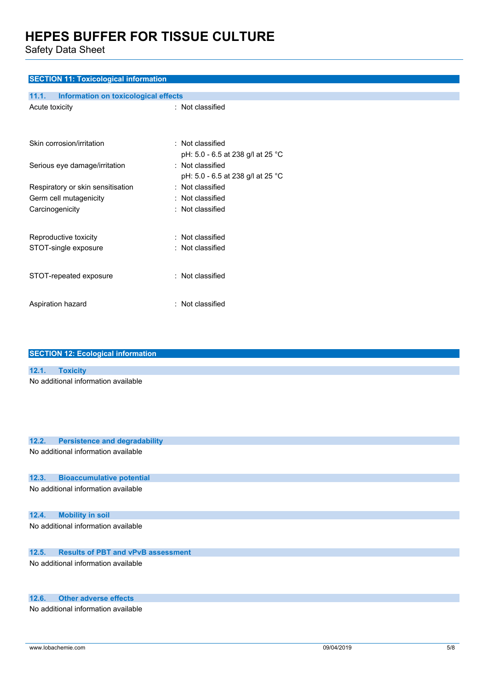Safety Data Sheet

| <b>SECTION 11: Toxicological information</b>  |                                   |  |  |
|-----------------------------------------------|-----------------------------------|--|--|
| 11.1.<br>Information on toxicological effects |                                   |  |  |
| Acute toxicity                                | : Not classified                  |  |  |
|                                               |                                   |  |  |
| Skin corrosion/irritation                     | : Not classified                  |  |  |
|                                               | pH: 5.0 - 6.5 at 238 g/l at 25 °C |  |  |
| Serious eye damage/irritation                 | : Not classified                  |  |  |
|                                               | pH: 5.0 - 6.5 at 238 g/l at 25 °C |  |  |
| Respiratory or skin sensitisation             | : Not classified                  |  |  |
| Germ cell mutagenicity                        | : Not classified                  |  |  |
| Carcinogenicity                               | : Not classified                  |  |  |
|                                               |                                   |  |  |
| Reproductive toxicity                         | : Not classified                  |  |  |
| STOT-single exposure                          | : Not classified                  |  |  |
|                                               |                                   |  |  |
| STOT-repeated exposure                        | : Not classified                  |  |  |
|                                               |                                   |  |  |
|                                               |                                   |  |  |
| Aspiration hazard                             | : Not classified                  |  |  |
|                                               |                                   |  |  |

|       | <b>SECTION 12: Ecological information</b> |  |  |
|-------|-------------------------------------------|--|--|
|       |                                           |  |  |
| 12.1. | <b>Toxicity</b>                           |  |  |
|       | No additional information available       |  |  |

| 12.2.                               | <b>Persistence and degradability</b>      |  |  |  |
|-------------------------------------|-------------------------------------------|--|--|--|
| No additional information available |                                           |  |  |  |
|                                     |                                           |  |  |  |
|                                     |                                           |  |  |  |
| 12.3.                               | <b>Bioaccumulative potential</b>          |  |  |  |
|                                     | No additional information available       |  |  |  |
|                                     |                                           |  |  |  |
|                                     |                                           |  |  |  |
| 12.4.                               | <b>Mobility in soil</b>                   |  |  |  |
|                                     | No additional information available       |  |  |  |
|                                     |                                           |  |  |  |
|                                     |                                           |  |  |  |
| 12.5.                               | <b>Results of PBT and vPvB assessment</b> |  |  |  |
|                                     | No additional information available       |  |  |  |
|                                     |                                           |  |  |  |
|                                     |                                           |  |  |  |
|                                     |                                           |  |  |  |
| 12.6.                               | <b>Other adverse effects</b>              |  |  |  |

No additional information available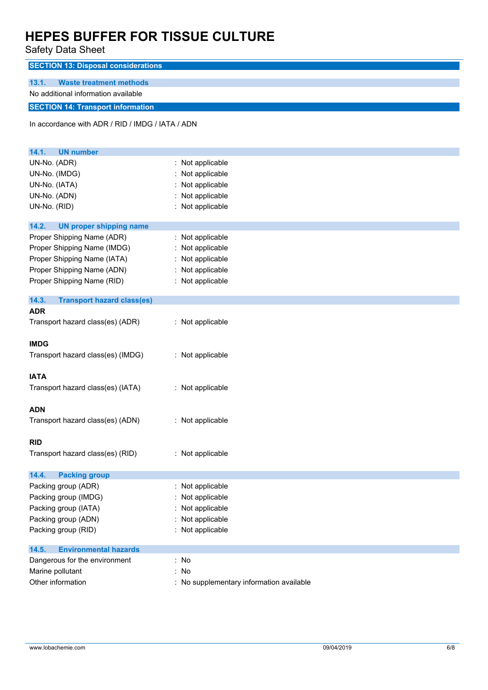Safety Data Sheet

| odicty Data Officet                              |                                          |
|--------------------------------------------------|------------------------------------------|
| <b>SECTION 13: Disposal considerations</b>       |                                          |
| 13.1.<br><b>Waste treatment methods</b>          |                                          |
| No additional information available              |                                          |
| <b>SECTION 14: Transport information</b>         |                                          |
| In accordance with ADR / RID / IMDG / IATA / ADN |                                          |
|                                                  |                                          |
| 14.1.<br><b>UN number</b>                        |                                          |
| UN-No. (ADR)                                     | : Not applicable                         |
| UN-No. (IMDG)                                    | Not applicable                           |
| UN-No. (IATA)                                    | Not applicable                           |
| UN-No. (ADN)                                     | Not applicable                           |
| UN-No. (RID)                                     | : Not applicable                         |
| 14.2.<br><b>UN proper shipping name</b>          |                                          |
| Proper Shipping Name (ADR)                       | : Not applicable                         |
| Proper Shipping Name (IMDG)                      | : Not applicable                         |
| Proper Shipping Name (IATA)                      | Not applicable                           |
| Proper Shipping Name (ADN)                       | : Not applicable                         |
| Proper Shipping Name (RID)                       | : Not applicable                         |
| 14.3.<br><b>Transport hazard class(es)</b>       |                                          |
| <b>ADR</b>                                       |                                          |
| Transport hazard class(es) (ADR)                 | : Not applicable                         |
| <b>IMDG</b>                                      |                                          |
| Transport hazard class(es) (IMDG)                | : Not applicable                         |
|                                                  |                                          |
| <b>IATA</b>                                      |                                          |
| Transport hazard class(es) (IATA)                | : Not applicable                         |
| <b>ADN</b>                                       |                                          |
| Transport hazard class(es) (ADN)                 | : Not applicable                         |
|                                                  |                                          |
| <b>RID</b>                                       |                                          |
| Transport hazard class(es) (RID)                 | : Not applicable                         |
| 14.4.<br><b>Packing group</b>                    |                                          |
| Packing group (ADR)                              | : Not applicable                         |
| Packing group (IMDG)                             | Not applicable                           |
| Packing group (IATA)                             | Not applicable                           |
| Packing group (ADN)                              | Not applicable                           |
| Packing group (RID)                              | : Not applicable                         |
| <b>Environmental hazards</b><br>14.5.            |                                          |
| Dangerous for the environment                    | : No                                     |
| Marine pollutant                                 | : No                                     |
| Other information                                | : No supplementary information available |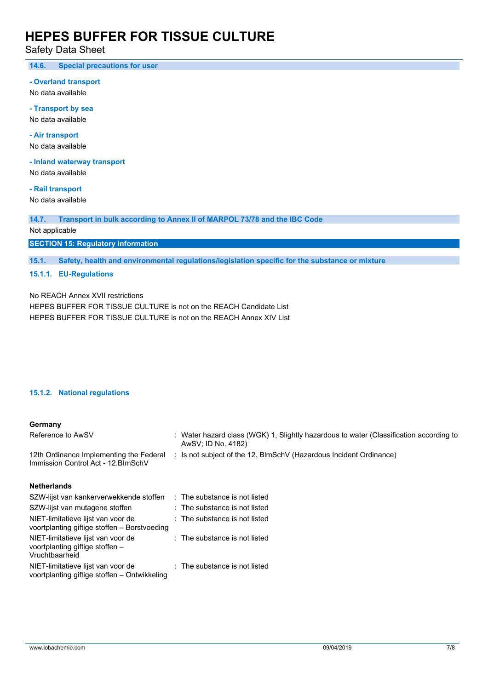Safety Data Sheet

**14.6. Special precautions for user**

#### **- Overland transport**

No data available

**- Transport by sea** No data available

**- Air transport**

No data available

**- Inland waterway transport**

No data available

**- Rail transport**

No data available

**14.7. Transport in bulk according to Annex II of MARPOL 73/78 and the IBC Code**

Not applicable

**SECTION 15: Regulatory information**

**15.1. Safety, health and environmental regulations/legislation specific for the substance or mixture**

### **15.1.1. EU-Regulations**

No REACH Annex XVII restrictions

HEPES BUFFER FOR TISSUE CULTURE is not on the REACH Candidate List HEPES BUFFER FOR TISSUE CULTURE is not on the REACH Annex XIV List

### **15.1.2. National regulations**

### **Germany**

| Reference to AwSV                                                              | : Water hazard class (WGK) 1, Slightly hazardous to water (Classification according to<br>AwSV; ID No. 4182) |  |  |
|--------------------------------------------------------------------------------|--------------------------------------------------------------------------------------------------------------|--|--|
| 12th Ordinance Implementing the Federal<br>Immission Control Act - 12. BlmSchV | : Is not subject of the 12. BlmSchV (Hazardous Incident Ordinance)                                           |  |  |
| <b>Netherlands</b>                                                             |                                                                                                              |  |  |
| SZW-lijst van kankerverwekkende stoffen : The substance is not listed          |                                                                                                              |  |  |
|                                                                                |                                                                                                              |  |  |

| SZW-lijst van mutagene stoffen                                                          | : The substance is not listed |
|-----------------------------------------------------------------------------------------|-------------------------------|
| NIET-limitatieve lijst van voor de<br>voortplanting giftige stoffen - Borstvoeding      | : The substance is not listed |
| NIET-limitatieve lijst van voor de<br>voortplanting giftige stoffen -<br>Vruchtbaarheid | : The substance is not listed |
| NIET-limitatieve lijst van voor de<br>voortplanting giftige stoffen - Ontwikkeling      | : The substance is not listed |